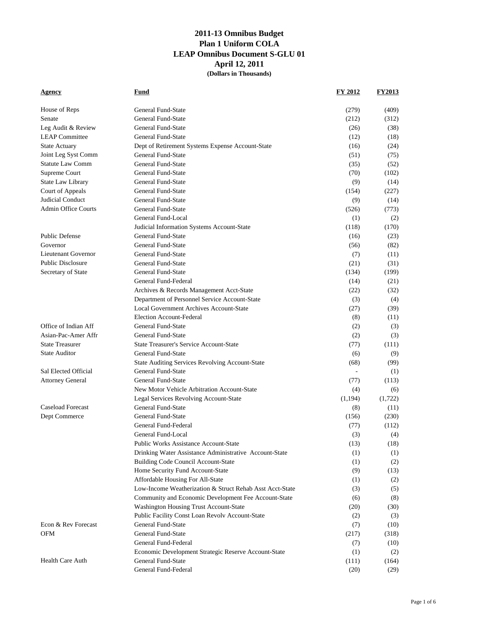| House of Reps<br>General Fund-State<br>(279)<br>(409)<br>General Fund-State<br>(212)<br>Senate<br>(312)<br>General Fund-State<br>Leg Audit & Review<br>(26)<br>(38)<br><b>LEAP</b> Committee<br>General Fund-State<br>(12)<br>(18)<br><b>State Actuary</b><br>Dept of Retirement Systems Expense Account-State<br>(16)<br>(24)<br>Joint Leg Syst Comm<br>General Fund-State<br>(51)<br>(75)<br><b>Statute Law Comm</b><br>General Fund-State<br>(35)<br>(52)<br>General Fund-State<br>Supreme Court<br>(70)<br>(102)<br>State Law Library<br>General Fund-State<br>(9)<br>(14)<br>Court of Appeals<br>General Fund-State<br>(154)<br>(227)<br>Judicial Conduct<br>General Fund-State<br>(9)<br>(14)<br><b>Admin Office Courts</b><br>General Fund-State<br>(526)<br>(773)<br>General Fund-Local<br>(1)<br>(2)<br>(118)<br>(170)<br>Judicial Information Systems Account-State<br><b>Public Defense</b><br>General Fund-State<br>(16)<br>(23)<br>Governor<br>General Fund-State<br>(56)<br>(82)<br>Lieutenant Governor<br>General Fund-State<br>(7)<br>(11)<br><b>Public Disclosure</b><br>General Fund-State<br>(21)<br>(31)<br>Secretary of State<br>General Fund-State<br>(134)<br>(199)<br>General Fund-Federal<br>(14)<br>(21)<br>Archives & Records Management Acct-State<br>(22)<br>(32)<br>Department of Personnel Service Account-State<br>(3)<br>(4)<br>Local Government Archives Account-State<br>(27)<br>(39)<br><b>Election Account-Federal</b><br>(8)<br>(11)<br>Office of Indian Aff<br>General Fund-State<br>(2)<br>(3)<br>Asian-Pac-Amer Affr<br>General Fund-State<br>(2)<br>(3)<br><b>State Treasurer</b><br><b>State Treasurer's Service Account-State</b><br>(77)<br>(111)<br><b>State Auditor</b><br>General Fund-State<br>(6)<br>(9)<br>State Auditing Services Revolving Account-State<br>(68)<br>(99)<br>Sal Elected Official<br><b>General Fund-State</b><br>(1)<br>$\omega$<br>General Fund-State<br><b>Attorney General</b><br>(77)<br>(113)<br>New Motor Vehicle Arbitration Account-State<br>(4)<br>(6)<br>(1,722)<br>Legal Services Revolving Account-State<br>(1,194)<br><b>Caseload Forecast</b><br><b>General Fund-State</b><br>(8)<br>(11)<br>General Fund-State<br>Dept Commerce<br>(156)<br>(230)<br>General Fund-Federal<br>(77)<br>(112)<br>(3)<br>General Fund-Local<br>(4)<br><b>Public Works Assistance Account-State</b><br>(13)<br>(18)<br>Drinking Water Assistance Administrative Account-State<br>(1)<br>(1)<br>Building Code Council Account-State<br>(1)<br>(2)<br>Home Security Fund Account-State<br>(9)<br>(13)<br>Affordable Housing For All-State<br>(1)<br>(2)<br>Low-Income Weatherization & Struct Rehab Asst Acct-State<br>(3)<br>(5)<br>Community and Economic Development Fee Account-State<br>(6)<br>(8)<br>Washington Housing Trust Account-State<br>(20)<br>(30)<br>Public Facility Const Loan Revolv Account-State<br>(2)<br>(3)<br>Econ & Rev Forecast<br>General Fund-State<br>(7)<br>(10)<br>OFM<br>General Fund-State<br>(217)<br>(318)<br>General Fund-Federal<br>(10)<br>(7)<br>Economic Development Strategic Reserve Account-State<br>(1)<br>(2)<br>Health Care Auth<br>General Fund-State<br>(111)<br>(164)<br>General Fund-Federal<br>(20)<br>(29) | <b>Agency</b> | Fund | <b>FY 2012</b> | <b>FY2013</b> |
|-----------------------------------------------------------------------------------------------------------------------------------------------------------------------------------------------------------------------------------------------------------------------------------------------------------------------------------------------------------------------------------------------------------------------------------------------------------------------------------------------------------------------------------------------------------------------------------------------------------------------------------------------------------------------------------------------------------------------------------------------------------------------------------------------------------------------------------------------------------------------------------------------------------------------------------------------------------------------------------------------------------------------------------------------------------------------------------------------------------------------------------------------------------------------------------------------------------------------------------------------------------------------------------------------------------------------------------------------------------------------------------------------------------------------------------------------------------------------------------------------------------------------------------------------------------------------------------------------------------------------------------------------------------------------------------------------------------------------------------------------------------------------------------------------------------------------------------------------------------------------------------------------------------------------------------------------------------------------------------------------------------------------------------------------------------------------------------------------------------------------------------------------------------------------------------------------------------------------------------------------------------------------------------------------------------------------------------------------------------------------------------------------------------------------------------------------------------------------------------------------------------------------------------------------------------------------------------------------------------------------------------------------------------------------------------------------------------------------------------------------------------------------------------------------------------------------------------------------------------------------------------------------------------------------------------------------------------------------------------------------------------------------------------------------------------------------------------------------------------------------------------------------------------------------------------------------------------------------------|---------------|------|----------------|---------------|
|                                                                                                                                                                                                                                                                                                                                                                                                                                                                                                                                                                                                                                                                                                                                                                                                                                                                                                                                                                                                                                                                                                                                                                                                                                                                                                                                                                                                                                                                                                                                                                                                                                                                                                                                                                                                                                                                                                                                                                                                                                                                                                                                                                                                                                                                                                                                                                                                                                                                                                                                                                                                                                                                                                                                                                                                                                                                                                                                                                                                                                                                                                                                                                                                                             |               |      |                |               |
|                                                                                                                                                                                                                                                                                                                                                                                                                                                                                                                                                                                                                                                                                                                                                                                                                                                                                                                                                                                                                                                                                                                                                                                                                                                                                                                                                                                                                                                                                                                                                                                                                                                                                                                                                                                                                                                                                                                                                                                                                                                                                                                                                                                                                                                                                                                                                                                                                                                                                                                                                                                                                                                                                                                                                                                                                                                                                                                                                                                                                                                                                                                                                                                                                             |               |      |                |               |
|                                                                                                                                                                                                                                                                                                                                                                                                                                                                                                                                                                                                                                                                                                                                                                                                                                                                                                                                                                                                                                                                                                                                                                                                                                                                                                                                                                                                                                                                                                                                                                                                                                                                                                                                                                                                                                                                                                                                                                                                                                                                                                                                                                                                                                                                                                                                                                                                                                                                                                                                                                                                                                                                                                                                                                                                                                                                                                                                                                                                                                                                                                                                                                                                                             |               |      |                |               |
|                                                                                                                                                                                                                                                                                                                                                                                                                                                                                                                                                                                                                                                                                                                                                                                                                                                                                                                                                                                                                                                                                                                                                                                                                                                                                                                                                                                                                                                                                                                                                                                                                                                                                                                                                                                                                                                                                                                                                                                                                                                                                                                                                                                                                                                                                                                                                                                                                                                                                                                                                                                                                                                                                                                                                                                                                                                                                                                                                                                                                                                                                                                                                                                                                             |               |      |                |               |
|                                                                                                                                                                                                                                                                                                                                                                                                                                                                                                                                                                                                                                                                                                                                                                                                                                                                                                                                                                                                                                                                                                                                                                                                                                                                                                                                                                                                                                                                                                                                                                                                                                                                                                                                                                                                                                                                                                                                                                                                                                                                                                                                                                                                                                                                                                                                                                                                                                                                                                                                                                                                                                                                                                                                                                                                                                                                                                                                                                                                                                                                                                                                                                                                                             |               |      |                |               |
|                                                                                                                                                                                                                                                                                                                                                                                                                                                                                                                                                                                                                                                                                                                                                                                                                                                                                                                                                                                                                                                                                                                                                                                                                                                                                                                                                                                                                                                                                                                                                                                                                                                                                                                                                                                                                                                                                                                                                                                                                                                                                                                                                                                                                                                                                                                                                                                                                                                                                                                                                                                                                                                                                                                                                                                                                                                                                                                                                                                                                                                                                                                                                                                                                             |               |      |                |               |
|                                                                                                                                                                                                                                                                                                                                                                                                                                                                                                                                                                                                                                                                                                                                                                                                                                                                                                                                                                                                                                                                                                                                                                                                                                                                                                                                                                                                                                                                                                                                                                                                                                                                                                                                                                                                                                                                                                                                                                                                                                                                                                                                                                                                                                                                                                                                                                                                                                                                                                                                                                                                                                                                                                                                                                                                                                                                                                                                                                                                                                                                                                                                                                                                                             |               |      |                |               |
|                                                                                                                                                                                                                                                                                                                                                                                                                                                                                                                                                                                                                                                                                                                                                                                                                                                                                                                                                                                                                                                                                                                                                                                                                                                                                                                                                                                                                                                                                                                                                                                                                                                                                                                                                                                                                                                                                                                                                                                                                                                                                                                                                                                                                                                                                                                                                                                                                                                                                                                                                                                                                                                                                                                                                                                                                                                                                                                                                                                                                                                                                                                                                                                                                             |               |      |                |               |
|                                                                                                                                                                                                                                                                                                                                                                                                                                                                                                                                                                                                                                                                                                                                                                                                                                                                                                                                                                                                                                                                                                                                                                                                                                                                                                                                                                                                                                                                                                                                                                                                                                                                                                                                                                                                                                                                                                                                                                                                                                                                                                                                                                                                                                                                                                                                                                                                                                                                                                                                                                                                                                                                                                                                                                                                                                                                                                                                                                                                                                                                                                                                                                                                                             |               |      |                |               |
|                                                                                                                                                                                                                                                                                                                                                                                                                                                                                                                                                                                                                                                                                                                                                                                                                                                                                                                                                                                                                                                                                                                                                                                                                                                                                                                                                                                                                                                                                                                                                                                                                                                                                                                                                                                                                                                                                                                                                                                                                                                                                                                                                                                                                                                                                                                                                                                                                                                                                                                                                                                                                                                                                                                                                                                                                                                                                                                                                                                                                                                                                                                                                                                                                             |               |      |                |               |
|                                                                                                                                                                                                                                                                                                                                                                                                                                                                                                                                                                                                                                                                                                                                                                                                                                                                                                                                                                                                                                                                                                                                                                                                                                                                                                                                                                                                                                                                                                                                                                                                                                                                                                                                                                                                                                                                                                                                                                                                                                                                                                                                                                                                                                                                                                                                                                                                                                                                                                                                                                                                                                                                                                                                                                                                                                                                                                                                                                                                                                                                                                                                                                                                                             |               |      |                |               |
|                                                                                                                                                                                                                                                                                                                                                                                                                                                                                                                                                                                                                                                                                                                                                                                                                                                                                                                                                                                                                                                                                                                                                                                                                                                                                                                                                                                                                                                                                                                                                                                                                                                                                                                                                                                                                                                                                                                                                                                                                                                                                                                                                                                                                                                                                                                                                                                                                                                                                                                                                                                                                                                                                                                                                                                                                                                                                                                                                                                                                                                                                                                                                                                                                             |               |      |                |               |
|                                                                                                                                                                                                                                                                                                                                                                                                                                                                                                                                                                                                                                                                                                                                                                                                                                                                                                                                                                                                                                                                                                                                                                                                                                                                                                                                                                                                                                                                                                                                                                                                                                                                                                                                                                                                                                                                                                                                                                                                                                                                                                                                                                                                                                                                                                                                                                                                                                                                                                                                                                                                                                                                                                                                                                                                                                                                                                                                                                                                                                                                                                                                                                                                                             |               |      |                |               |
|                                                                                                                                                                                                                                                                                                                                                                                                                                                                                                                                                                                                                                                                                                                                                                                                                                                                                                                                                                                                                                                                                                                                                                                                                                                                                                                                                                                                                                                                                                                                                                                                                                                                                                                                                                                                                                                                                                                                                                                                                                                                                                                                                                                                                                                                                                                                                                                                                                                                                                                                                                                                                                                                                                                                                                                                                                                                                                                                                                                                                                                                                                                                                                                                                             |               |      |                |               |
|                                                                                                                                                                                                                                                                                                                                                                                                                                                                                                                                                                                                                                                                                                                                                                                                                                                                                                                                                                                                                                                                                                                                                                                                                                                                                                                                                                                                                                                                                                                                                                                                                                                                                                                                                                                                                                                                                                                                                                                                                                                                                                                                                                                                                                                                                                                                                                                                                                                                                                                                                                                                                                                                                                                                                                                                                                                                                                                                                                                                                                                                                                                                                                                                                             |               |      |                |               |
|                                                                                                                                                                                                                                                                                                                                                                                                                                                                                                                                                                                                                                                                                                                                                                                                                                                                                                                                                                                                                                                                                                                                                                                                                                                                                                                                                                                                                                                                                                                                                                                                                                                                                                                                                                                                                                                                                                                                                                                                                                                                                                                                                                                                                                                                                                                                                                                                                                                                                                                                                                                                                                                                                                                                                                                                                                                                                                                                                                                                                                                                                                                                                                                                                             |               |      |                |               |
|                                                                                                                                                                                                                                                                                                                                                                                                                                                                                                                                                                                                                                                                                                                                                                                                                                                                                                                                                                                                                                                                                                                                                                                                                                                                                                                                                                                                                                                                                                                                                                                                                                                                                                                                                                                                                                                                                                                                                                                                                                                                                                                                                                                                                                                                                                                                                                                                                                                                                                                                                                                                                                                                                                                                                                                                                                                                                                                                                                                                                                                                                                                                                                                                                             |               |      |                |               |
|                                                                                                                                                                                                                                                                                                                                                                                                                                                                                                                                                                                                                                                                                                                                                                                                                                                                                                                                                                                                                                                                                                                                                                                                                                                                                                                                                                                                                                                                                                                                                                                                                                                                                                                                                                                                                                                                                                                                                                                                                                                                                                                                                                                                                                                                                                                                                                                                                                                                                                                                                                                                                                                                                                                                                                                                                                                                                                                                                                                                                                                                                                                                                                                                                             |               |      |                |               |
|                                                                                                                                                                                                                                                                                                                                                                                                                                                                                                                                                                                                                                                                                                                                                                                                                                                                                                                                                                                                                                                                                                                                                                                                                                                                                                                                                                                                                                                                                                                                                                                                                                                                                                                                                                                                                                                                                                                                                                                                                                                                                                                                                                                                                                                                                                                                                                                                                                                                                                                                                                                                                                                                                                                                                                                                                                                                                                                                                                                                                                                                                                                                                                                                                             |               |      |                |               |
|                                                                                                                                                                                                                                                                                                                                                                                                                                                                                                                                                                                                                                                                                                                                                                                                                                                                                                                                                                                                                                                                                                                                                                                                                                                                                                                                                                                                                                                                                                                                                                                                                                                                                                                                                                                                                                                                                                                                                                                                                                                                                                                                                                                                                                                                                                                                                                                                                                                                                                                                                                                                                                                                                                                                                                                                                                                                                                                                                                                                                                                                                                                                                                                                                             |               |      |                |               |
|                                                                                                                                                                                                                                                                                                                                                                                                                                                                                                                                                                                                                                                                                                                                                                                                                                                                                                                                                                                                                                                                                                                                                                                                                                                                                                                                                                                                                                                                                                                                                                                                                                                                                                                                                                                                                                                                                                                                                                                                                                                                                                                                                                                                                                                                                                                                                                                                                                                                                                                                                                                                                                                                                                                                                                                                                                                                                                                                                                                                                                                                                                                                                                                                                             |               |      |                |               |
|                                                                                                                                                                                                                                                                                                                                                                                                                                                                                                                                                                                                                                                                                                                                                                                                                                                                                                                                                                                                                                                                                                                                                                                                                                                                                                                                                                                                                                                                                                                                                                                                                                                                                                                                                                                                                                                                                                                                                                                                                                                                                                                                                                                                                                                                                                                                                                                                                                                                                                                                                                                                                                                                                                                                                                                                                                                                                                                                                                                                                                                                                                                                                                                                                             |               |      |                |               |
|                                                                                                                                                                                                                                                                                                                                                                                                                                                                                                                                                                                                                                                                                                                                                                                                                                                                                                                                                                                                                                                                                                                                                                                                                                                                                                                                                                                                                                                                                                                                                                                                                                                                                                                                                                                                                                                                                                                                                                                                                                                                                                                                                                                                                                                                                                                                                                                                                                                                                                                                                                                                                                                                                                                                                                                                                                                                                                                                                                                                                                                                                                                                                                                                                             |               |      |                |               |
|                                                                                                                                                                                                                                                                                                                                                                                                                                                                                                                                                                                                                                                                                                                                                                                                                                                                                                                                                                                                                                                                                                                                                                                                                                                                                                                                                                                                                                                                                                                                                                                                                                                                                                                                                                                                                                                                                                                                                                                                                                                                                                                                                                                                                                                                                                                                                                                                                                                                                                                                                                                                                                                                                                                                                                                                                                                                                                                                                                                                                                                                                                                                                                                                                             |               |      |                |               |
|                                                                                                                                                                                                                                                                                                                                                                                                                                                                                                                                                                                                                                                                                                                                                                                                                                                                                                                                                                                                                                                                                                                                                                                                                                                                                                                                                                                                                                                                                                                                                                                                                                                                                                                                                                                                                                                                                                                                                                                                                                                                                                                                                                                                                                                                                                                                                                                                                                                                                                                                                                                                                                                                                                                                                                                                                                                                                                                                                                                                                                                                                                                                                                                                                             |               |      |                |               |
|                                                                                                                                                                                                                                                                                                                                                                                                                                                                                                                                                                                                                                                                                                                                                                                                                                                                                                                                                                                                                                                                                                                                                                                                                                                                                                                                                                                                                                                                                                                                                                                                                                                                                                                                                                                                                                                                                                                                                                                                                                                                                                                                                                                                                                                                                                                                                                                                                                                                                                                                                                                                                                                                                                                                                                                                                                                                                                                                                                                                                                                                                                                                                                                                                             |               |      |                |               |
|                                                                                                                                                                                                                                                                                                                                                                                                                                                                                                                                                                                                                                                                                                                                                                                                                                                                                                                                                                                                                                                                                                                                                                                                                                                                                                                                                                                                                                                                                                                                                                                                                                                                                                                                                                                                                                                                                                                                                                                                                                                                                                                                                                                                                                                                                                                                                                                                                                                                                                                                                                                                                                                                                                                                                                                                                                                                                                                                                                                                                                                                                                                                                                                                                             |               |      |                |               |
|                                                                                                                                                                                                                                                                                                                                                                                                                                                                                                                                                                                                                                                                                                                                                                                                                                                                                                                                                                                                                                                                                                                                                                                                                                                                                                                                                                                                                                                                                                                                                                                                                                                                                                                                                                                                                                                                                                                                                                                                                                                                                                                                                                                                                                                                                                                                                                                                                                                                                                                                                                                                                                                                                                                                                                                                                                                                                                                                                                                                                                                                                                                                                                                                                             |               |      |                |               |
|                                                                                                                                                                                                                                                                                                                                                                                                                                                                                                                                                                                                                                                                                                                                                                                                                                                                                                                                                                                                                                                                                                                                                                                                                                                                                                                                                                                                                                                                                                                                                                                                                                                                                                                                                                                                                                                                                                                                                                                                                                                                                                                                                                                                                                                                                                                                                                                                                                                                                                                                                                                                                                                                                                                                                                                                                                                                                                                                                                                                                                                                                                                                                                                                                             |               |      |                |               |
|                                                                                                                                                                                                                                                                                                                                                                                                                                                                                                                                                                                                                                                                                                                                                                                                                                                                                                                                                                                                                                                                                                                                                                                                                                                                                                                                                                                                                                                                                                                                                                                                                                                                                                                                                                                                                                                                                                                                                                                                                                                                                                                                                                                                                                                                                                                                                                                                                                                                                                                                                                                                                                                                                                                                                                                                                                                                                                                                                                                                                                                                                                                                                                                                                             |               |      |                |               |
|                                                                                                                                                                                                                                                                                                                                                                                                                                                                                                                                                                                                                                                                                                                                                                                                                                                                                                                                                                                                                                                                                                                                                                                                                                                                                                                                                                                                                                                                                                                                                                                                                                                                                                                                                                                                                                                                                                                                                                                                                                                                                                                                                                                                                                                                                                                                                                                                                                                                                                                                                                                                                                                                                                                                                                                                                                                                                                                                                                                                                                                                                                                                                                                                                             |               |      |                |               |
|                                                                                                                                                                                                                                                                                                                                                                                                                                                                                                                                                                                                                                                                                                                                                                                                                                                                                                                                                                                                                                                                                                                                                                                                                                                                                                                                                                                                                                                                                                                                                                                                                                                                                                                                                                                                                                                                                                                                                                                                                                                                                                                                                                                                                                                                                                                                                                                                                                                                                                                                                                                                                                                                                                                                                                                                                                                                                                                                                                                                                                                                                                                                                                                                                             |               |      |                |               |
|                                                                                                                                                                                                                                                                                                                                                                                                                                                                                                                                                                                                                                                                                                                                                                                                                                                                                                                                                                                                                                                                                                                                                                                                                                                                                                                                                                                                                                                                                                                                                                                                                                                                                                                                                                                                                                                                                                                                                                                                                                                                                                                                                                                                                                                                                                                                                                                                                                                                                                                                                                                                                                                                                                                                                                                                                                                                                                                                                                                                                                                                                                                                                                                                                             |               |      |                |               |
|                                                                                                                                                                                                                                                                                                                                                                                                                                                                                                                                                                                                                                                                                                                                                                                                                                                                                                                                                                                                                                                                                                                                                                                                                                                                                                                                                                                                                                                                                                                                                                                                                                                                                                                                                                                                                                                                                                                                                                                                                                                                                                                                                                                                                                                                                                                                                                                                                                                                                                                                                                                                                                                                                                                                                                                                                                                                                                                                                                                                                                                                                                                                                                                                                             |               |      |                |               |
|                                                                                                                                                                                                                                                                                                                                                                                                                                                                                                                                                                                                                                                                                                                                                                                                                                                                                                                                                                                                                                                                                                                                                                                                                                                                                                                                                                                                                                                                                                                                                                                                                                                                                                                                                                                                                                                                                                                                                                                                                                                                                                                                                                                                                                                                                                                                                                                                                                                                                                                                                                                                                                                                                                                                                                                                                                                                                                                                                                                                                                                                                                                                                                                                                             |               |      |                |               |
|                                                                                                                                                                                                                                                                                                                                                                                                                                                                                                                                                                                                                                                                                                                                                                                                                                                                                                                                                                                                                                                                                                                                                                                                                                                                                                                                                                                                                                                                                                                                                                                                                                                                                                                                                                                                                                                                                                                                                                                                                                                                                                                                                                                                                                                                                                                                                                                                                                                                                                                                                                                                                                                                                                                                                                                                                                                                                                                                                                                                                                                                                                                                                                                                                             |               |      |                |               |
|                                                                                                                                                                                                                                                                                                                                                                                                                                                                                                                                                                                                                                                                                                                                                                                                                                                                                                                                                                                                                                                                                                                                                                                                                                                                                                                                                                                                                                                                                                                                                                                                                                                                                                                                                                                                                                                                                                                                                                                                                                                                                                                                                                                                                                                                                                                                                                                                                                                                                                                                                                                                                                                                                                                                                                                                                                                                                                                                                                                                                                                                                                                                                                                                                             |               |      |                |               |
|                                                                                                                                                                                                                                                                                                                                                                                                                                                                                                                                                                                                                                                                                                                                                                                                                                                                                                                                                                                                                                                                                                                                                                                                                                                                                                                                                                                                                                                                                                                                                                                                                                                                                                                                                                                                                                                                                                                                                                                                                                                                                                                                                                                                                                                                                                                                                                                                                                                                                                                                                                                                                                                                                                                                                                                                                                                                                                                                                                                                                                                                                                                                                                                                                             |               |      |                |               |
|                                                                                                                                                                                                                                                                                                                                                                                                                                                                                                                                                                                                                                                                                                                                                                                                                                                                                                                                                                                                                                                                                                                                                                                                                                                                                                                                                                                                                                                                                                                                                                                                                                                                                                                                                                                                                                                                                                                                                                                                                                                                                                                                                                                                                                                                                                                                                                                                                                                                                                                                                                                                                                                                                                                                                                                                                                                                                                                                                                                                                                                                                                                                                                                                                             |               |      |                |               |
|                                                                                                                                                                                                                                                                                                                                                                                                                                                                                                                                                                                                                                                                                                                                                                                                                                                                                                                                                                                                                                                                                                                                                                                                                                                                                                                                                                                                                                                                                                                                                                                                                                                                                                                                                                                                                                                                                                                                                                                                                                                                                                                                                                                                                                                                                                                                                                                                                                                                                                                                                                                                                                                                                                                                                                                                                                                                                                                                                                                                                                                                                                                                                                                                                             |               |      |                |               |
|                                                                                                                                                                                                                                                                                                                                                                                                                                                                                                                                                                                                                                                                                                                                                                                                                                                                                                                                                                                                                                                                                                                                                                                                                                                                                                                                                                                                                                                                                                                                                                                                                                                                                                                                                                                                                                                                                                                                                                                                                                                                                                                                                                                                                                                                                                                                                                                                                                                                                                                                                                                                                                                                                                                                                                                                                                                                                                                                                                                                                                                                                                                                                                                                                             |               |      |                |               |
|                                                                                                                                                                                                                                                                                                                                                                                                                                                                                                                                                                                                                                                                                                                                                                                                                                                                                                                                                                                                                                                                                                                                                                                                                                                                                                                                                                                                                                                                                                                                                                                                                                                                                                                                                                                                                                                                                                                                                                                                                                                                                                                                                                                                                                                                                                                                                                                                                                                                                                                                                                                                                                                                                                                                                                                                                                                                                                                                                                                                                                                                                                                                                                                                                             |               |      |                |               |
|                                                                                                                                                                                                                                                                                                                                                                                                                                                                                                                                                                                                                                                                                                                                                                                                                                                                                                                                                                                                                                                                                                                                                                                                                                                                                                                                                                                                                                                                                                                                                                                                                                                                                                                                                                                                                                                                                                                                                                                                                                                                                                                                                                                                                                                                                                                                                                                                                                                                                                                                                                                                                                                                                                                                                                                                                                                                                                                                                                                                                                                                                                                                                                                                                             |               |      |                |               |
|                                                                                                                                                                                                                                                                                                                                                                                                                                                                                                                                                                                                                                                                                                                                                                                                                                                                                                                                                                                                                                                                                                                                                                                                                                                                                                                                                                                                                                                                                                                                                                                                                                                                                                                                                                                                                                                                                                                                                                                                                                                                                                                                                                                                                                                                                                                                                                                                                                                                                                                                                                                                                                                                                                                                                                                                                                                                                                                                                                                                                                                                                                                                                                                                                             |               |      |                |               |
|                                                                                                                                                                                                                                                                                                                                                                                                                                                                                                                                                                                                                                                                                                                                                                                                                                                                                                                                                                                                                                                                                                                                                                                                                                                                                                                                                                                                                                                                                                                                                                                                                                                                                                                                                                                                                                                                                                                                                                                                                                                                                                                                                                                                                                                                                                                                                                                                                                                                                                                                                                                                                                                                                                                                                                                                                                                                                                                                                                                                                                                                                                                                                                                                                             |               |      |                |               |
|                                                                                                                                                                                                                                                                                                                                                                                                                                                                                                                                                                                                                                                                                                                                                                                                                                                                                                                                                                                                                                                                                                                                                                                                                                                                                                                                                                                                                                                                                                                                                                                                                                                                                                                                                                                                                                                                                                                                                                                                                                                                                                                                                                                                                                                                                                                                                                                                                                                                                                                                                                                                                                                                                                                                                                                                                                                                                                                                                                                                                                                                                                                                                                                                                             |               |      |                |               |
|                                                                                                                                                                                                                                                                                                                                                                                                                                                                                                                                                                                                                                                                                                                                                                                                                                                                                                                                                                                                                                                                                                                                                                                                                                                                                                                                                                                                                                                                                                                                                                                                                                                                                                                                                                                                                                                                                                                                                                                                                                                                                                                                                                                                                                                                                                                                                                                                                                                                                                                                                                                                                                                                                                                                                                                                                                                                                                                                                                                                                                                                                                                                                                                                                             |               |      |                |               |
|                                                                                                                                                                                                                                                                                                                                                                                                                                                                                                                                                                                                                                                                                                                                                                                                                                                                                                                                                                                                                                                                                                                                                                                                                                                                                                                                                                                                                                                                                                                                                                                                                                                                                                                                                                                                                                                                                                                                                                                                                                                                                                                                                                                                                                                                                                                                                                                                                                                                                                                                                                                                                                                                                                                                                                                                                                                                                                                                                                                                                                                                                                                                                                                                                             |               |      |                |               |
|                                                                                                                                                                                                                                                                                                                                                                                                                                                                                                                                                                                                                                                                                                                                                                                                                                                                                                                                                                                                                                                                                                                                                                                                                                                                                                                                                                                                                                                                                                                                                                                                                                                                                                                                                                                                                                                                                                                                                                                                                                                                                                                                                                                                                                                                                                                                                                                                                                                                                                                                                                                                                                                                                                                                                                                                                                                                                                                                                                                                                                                                                                                                                                                                                             |               |      |                |               |
|                                                                                                                                                                                                                                                                                                                                                                                                                                                                                                                                                                                                                                                                                                                                                                                                                                                                                                                                                                                                                                                                                                                                                                                                                                                                                                                                                                                                                                                                                                                                                                                                                                                                                                                                                                                                                                                                                                                                                                                                                                                                                                                                                                                                                                                                                                                                                                                                                                                                                                                                                                                                                                                                                                                                                                                                                                                                                                                                                                                                                                                                                                                                                                                                                             |               |      |                |               |
|                                                                                                                                                                                                                                                                                                                                                                                                                                                                                                                                                                                                                                                                                                                                                                                                                                                                                                                                                                                                                                                                                                                                                                                                                                                                                                                                                                                                                                                                                                                                                                                                                                                                                                                                                                                                                                                                                                                                                                                                                                                                                                                                                                                                                                                                                                                                                                                                                                                                                                                                                                                                                                                                                                                                                                                                                                                                                                                                                                                                                                                                                                                                                                                                                             |               |      |                |               |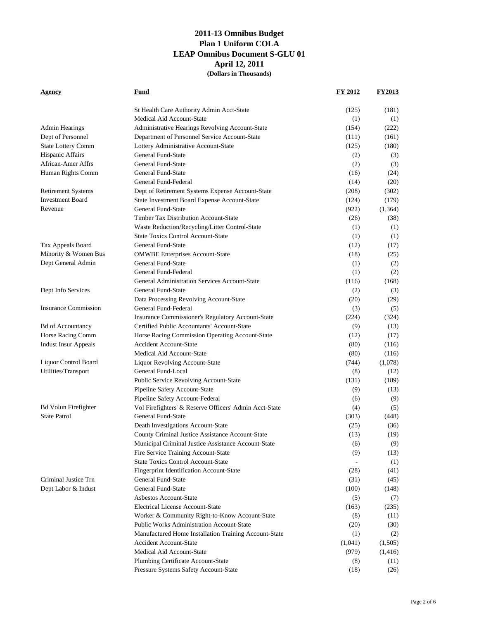| Agency                      | Fund                                                   | FY 2012 | FY2013   |
|-----------------------------|--------------------------------------------------------|---------|----------|
|                             | St Health Care Authority Admin Acct-State              | (125)   | (181)    |
|                             | Medical Aid Account-State                              | (1)     | (1)      |
| <b>Admin Hearings</b>       | Administrative Hearings Revolving Account-State        | (154)   | (222)    |
| Dept of Personnel           | Department of Personnel Service Account-State          | (111)   | (161)    |
| <b>State Lottery Comm</b>   | Lottery Administrative Account-State                   | (125)   | (180)    |
| Hispanic Affairs            | General Fund-State                                     | (2)     | (3)      |
| African-Amer Affrs          | General Fund-State                                     | (2)     | (3)      |
| Human Rights Comm           | General Fund-State                                     | (16)    | (24)     |
|                             | General Fund-Federal                                   | (14)    | (20)     |
| <b>Retirement Systems</b>   | Dept of Retirement Systems Expense Account-State       | (208)   | (302)    |
| <b>Investment Board</b>     | State Investment Board Expense Account-State           | (124)   | (179)    |
| Revenue                     | General Fund-State                                     | (922)   | (1, 364) |
|                             | <b>Timber Tax Distribution Account-State</b>           | (26)    | (38)     |
|                             | Waste Reduction/Recycling/Litter Control-State         | (1)     | (1)      |
|                             | <b>State Toxics Control Account-State</b>              | (1)     | (1)      |
| Tax Appeals Board           | General Fund-State                                     | (12)    | (17)     |
| Minority & Women Bus        | <b>OMWBE Enterprises Account-State</b>                 | (18)    | (25)     |
| Dept General Admin          | General Fund-State                                     | (1)     | (2)      |
|                             | General Fund-Federal                                   | (1)     | (2)      |
|                             | General Administration Services Account-State          | (116)   | (168)    |
| Dept Info Services          | General Fund-State                                     | (2)     | (3)      |
|                             | Data Processing Revolving Account-State                | (20)    | (29)     |
| <b>Insurance Commission</b> | General Fund-Federal                                   | (3)     | (5)      |
|                             | Insurance Commissioner's Regulatory Account-State      | (224)   | (324)    |
| <b>Bd of Accountancy</b>    | Certified Public Accountants' Account-State            | (9)     | (13)     |
| Horse Racing Comm           | Horse Racing Commission Operating Account-State        | (12)    | (17)     |
| <b>Indust Insur Appeals</b> | <b>Accident Account-State</b>                          | (80)    | (116)    |
|                             | Medical Aid Account-State                              | (80)    | (116)    |
| Liquor Control Board        | Liquor Revolving Account-State                         | (744)   | (1,078)  |
| Utilities/Transport         | General Fund-Local                                     | (8)     | (12)     |
|                             | Public Service Revolving Account-State                 | (131)   | (189)    |
|                             | Pipeline Safety Account-State                          | (9)     | (13)     |
|                             | Pipeline Safety Account-Federal                        | (6)     | (9)      |
| <b>Bd Volun Firefighter</b> | Vol Firefighters' & Reserve Officers' Admin Acct-State | (4)     | (5)      |
| <b>State Patrol</b>         | General Fund-State                                     | (303)   | (448)    |
|                             | Death Investigations Account-State                     | (25)    | (36)     |
|                             | County Criminal Justice Assistance Account-State       | (13)    | (19)     |
|                             | Municipal Criminal Justice Assistance Account-State    | (6)     | (9)      |
|                             | Fire Service Training Account-State                    | (9)     | (13)     |
|                             | <b>State Toxics Control Account-State</b>              |         | (1)      |
|                             | <b>Fingerprint Identification Account-State</b>        | (28)    | (41)     |
| Criminal Justice Trn        | General Fund-State                                     | (31)    | (45)     |
| Dept Labor & Indust         | General Fund-State                                     | (100)   | (148)    |
|                             | Asbestos Account-State                                 | (5)     | (7)      |
|                             | <b>Electrical License Account-State</b>                | (163)   | (235)    |
|                             | Worker & Community Right-to-Know Account-State         | (8)     | (11)     |
|                             | <b>Public Works Administration Account-State</b>       | (20)    | (30)     |
|                             | Manufactured Home Installation Training Account-State  | (1)     | (2)      |
|                             | <b>Accident Account-State</b>                          | (1,041) | (1,505)  |
|                             | Medical Aid Account-State                              | (979)   | (1, 416) |
|                             | Plumbing Certificate Account-State                     | (8)     | (11)     |
|                             | Pressure Systems Safety Account-State                  | (18)    | (26)     |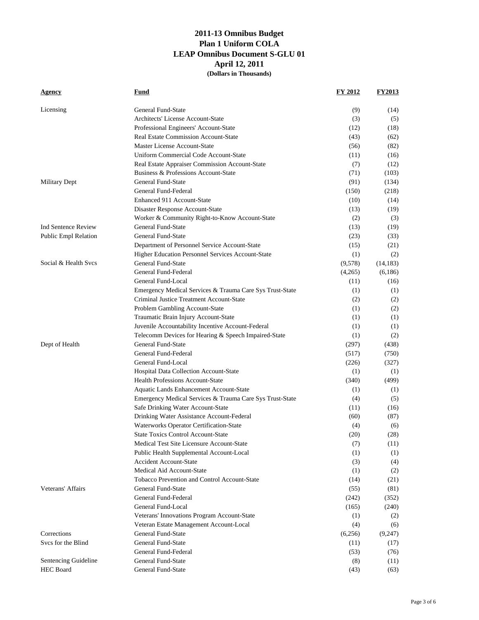| Licensing<br>General Fund-State<br>(9)<br>(14)<br><b>Architects' License Account-State</b><br>(3)<br>(5)<br>Professional Engineers' Account-State<br>(12)<br>(18)<br><b>Real Estate Commission Account-State</b><br>(43)<br>(62)<br>Master License Account-State<br>(56)<br>(82)<br>Uniform Commercial Code Account-State<br>(11)<br>(16)<br>Real Estate Appraiser Commission Account-State<br>(7)<br>(12)<br>Business & Professions Account-State<br>(103)<br>(71)<br>General Fund-State<br><b>Military Dept</b><br>(91)<br>(134)<br>General Fund-Federal<br>(150)<br>(218)<br>Enhanced 911 Account-State<br>(10)<br>(14)<br>Disaster Response Account-State<br>(13)<br>(19)<br>Worker & Community Right-to-Know Account-State<br>(2)<br>(3)<br>General Fund-State<br>Ind Sentence Review<br>(13)<br>(19)<br>Public Empl Relation<br>General Fund-State<br>(23)<br>(33)<br>Department of Personnel Service Account-State<br>(15)<br>(21)<br>Higher Education Personnel Services Account-State<br>(1)<br>(2)<br>Social & Health Svcs<br>General Fund-State<br>(9,578)<br>(14, 183)<br>General Fund-Federal<br>(4,265)<br>(6,186)<br>General Fund-Local<br>(11)<br>(16)<br>Emergency Medical Services & Trauma Care Sys Trust-State<br>(1)<br>(1)<br>Criminal Justice Treatment Account-State<br>(2)<br>(2)<br>Problem Gambling Account-State<br>(1)<br>(2)<br>Traumatic Brain Injury Account-State<br>(1)<br>(1)<br>Juvenile Accountability Incentive Account-Federal<br>(1)<br>(1)<br>Telecomm Devices for Hearing & Speech Impaired-State<br>(2)<br>(1)<br>General Fund-State<br>Dept of Health<br>(297)<br>(438)<br>General Fund-Federal<br>(517)<br>(750)<br>General Fund-Local<br>(226)<br>(327)<br>Hospital Data Collection Account-State<br>(1)<br>(1)<br><b>Health Professions Account-State</b><br>(499)<br>(340)<br>Aquatic Lands Enhancement Account-State<br>(1)<br>(1)<br>Emergency Medical Services & Trauma Care Sys Trust-State<br>(4)<br>(5)<br>Safe Drinking Water Account-State<br>(11)<br>(16)<br>Drinking Water Assistance Account-Federal<br>(60)<br>(87)<br>Waterworks Operator Certification-State<br>(4)<br>(6)<br><b>State Toxics Control Account-State</b><br>(28)<br>(20)<br>Medical Test Site Licensure Account-State<br>(11)<br>(7)<br>Public Health Supplemental Account-Local<br>(1)<br>(1)<br><b>Accident Account-State</b><br>(3)<br>(4)<br>Medical Aid Account-State<br>(1)<br>(2)<br>Tobacco Prevention and Control Account-State<br>(14)<br>(21)<br>Veterans' Affairs<br>General Fund-State<br>(55)<br>(81)<br>General Fund-Federal<br>(352)<br>(242)<br>General Fund-Local<br>(165)<br>(240)<br>Veterans' Innovations Program Account-State<br>(1)<br>(2)<br>Veteran Estate Management Account-Local<br>(4)<br>(6)<br>Corrections<br>General Fund-State<br>(6,256)<br>(9,247)<br>Sycs for the Blind<br>General Fund-State<br>(11)<br>(17)<br>General Fund-Federal<br>(53)<br>(76)<br>Sentencing Guideline<br>General Fund-State<br>(8)<br>(11) | <u>Agency</u> | Fund | FY 2012 | <b>FY2013</b> |
|--------------------------------------------------------------------------------------------------------------------------------------------------------------------------------------------------------------------------------------------------------------------------------------------------------------------------------------------------------------------------------------------------------------------------------------------------------------------------------------------------------------------------------------------------------------------------------------------------------------------------------------------------------------------------------------------------------------------------------------------------------------------------------------------------------------------------------------------------------------------------------------------------------------------------------------------------------------------------------------------------------------------------------------------------------------------------------------------------------------------------------------------------------------------------------------------------------------------------------------------------------------------------------------------------------------------------------------------------------------------------------------------------------------------------------------------------------------------------------------------------------------------------------------------------------------------------------------------------------------------------------------------------------------------------------------------------------------------------------------------------------------------------------------------------------------------------------------------------------------------------------------------------------------------------------------------------------------------------------------------------------------------------------------------------------------------------------------------------------------------------------------------------------------------------------------------------------------------------------------------------------------------------------------------------------------------------------------------------------------------------------------------------------------------------------------------------------------------------------------------------------------------------------------------------------------------------------------------------------------------------------------------------------------------------------------------------------------------------------------------------------------------------------------------------------------------------------------------------------------------------------------------------------------------------------------------------------------------------------------|---------------|------|---------|---------------|
|                                                                                                                                                                                                                                                                                                                                                                                                                                                                                                                                                                                                                                                                                                                                                                                                                                                                                                                                                                                                                                                                                                                                                                                                                                                                                                                                                                                                                                                                                                                                                                                                                                                                                                                                                                                                                                                                                                                                                                                                                                                                                                                                                                                                                                                                                                                                                                                                                                                                                                                                                                                                                                                                                                                                                                                                                                                                                                                                                                                      |               |      |         |               |
|                                                                                                                                                                                                                                                                                                                                                                                                                                                                                                                                                                                                                                                                                                                                                                                                                                                                                                                                                                                                                                                                                                                                                                                                                                                                                                                                                                                                                                                                                                                                                                                                                                                                                                                                                                                                                                                                                                                                                                                                                                                                                                                                                                                                                                                                                                                                                                                                                                                                                                                                                                                                                                                                                                                                                                                                                                                                                                                                                                                      |               |      |         |               |
|                                                                                                                                                                                                                                                                                                                                                                                                                                                                                                                                                                                                                                                                                                                                                                                                                                                                                                                                                                                                                                                                                                                                                                                                                                                                                                                                                                                                                                                                                                                                                                                                                                                                                                                                                                                                                                                                                                                                                                                                                                                                                                                                                                                                                                                                                                                                                                                                                                                                                                                                                                                                                                                                                                                                                                                                                                                                                                                                                                                      |               |      |         |               |
|                                                                                                                                                                                                                                                                                                                                                                                                                                                                                                                                                                                                                                                                                                                                                                                                                                                                                                                                                                                                                                                                                                                                                                                                                                                                                                                                                                                                                                                                                                                                                                                                                                                                                                                                                                                                                                                                                                                                                                                                                                                                                                                                                                                                                                                                                                                                                                                                                                                                                                                                                                                                                                                                                                                                                                                                                                                                                                                                                                                      |               |      |         |               |
|                                                                                                                                                                                                                                                                                                                                                                                                                                                                                                                                                                                                                                                                                                                                                                                                                                                                                                                                                                                                                                                                                                                                                                                                                                                                                                                                                                                                                                                                                                                                                                                                                                                                                                                                                                                                                                                                                                                                                                                                                                                                                                                                                                                                                                                                                                                                                                                                                                                                                                                                                                                                                                                                                                                                                                                                                                                                                                                                                                                      |               |      |         |               |
|                                                                                                                                                                                                                                                                                                                                                                                                                                                                                                                                                                                                                                                                                                                                                                                                                                                                                                                                                                                                                                                                                                                                                                                                                                                                                                                                                                                                                                                                                                                                                                                                                                                                                                                                                                                                                                                                                                                                                                                                                                                                                                                                                                                                                                                                                                                                                                                                                                                                                                                                                                                                                                                                                                                                                                                                                                                                                                                                                                                      |               |      |         |               |
|                                                                                                                                                                                                                                                                                                                                                                                                                                                                                                                                                                                                                                                                                                                                                                                                                                                                                                                                                                                                                                                                                                                                                                                                                                                                                                                                                                                                                                                                                                                                                                                                                                                                                                                                                                                                                                                                                                                                                                                                                                                                                                                                                                                                                                                                                                                                                                                                                                                                                                                                                                                                                                                                                                                                                                                                                                                                                                                                                                                      |               |      |         |               |
|                                                                                                                                                                                                                                                                                                                                                                                                                                                                                                                                                                                                                                                                                                                                                                                                                                                                                                                                                                                                                                                                                                                                                                                                                                                                                                                                                                                                                                                                                                                                                                                                                                                                                                                                                                                                                                                                                                                                                                                                                                                                                                                                                                                                                                                                                                                                                                                                                                                                                                                                                                                                                                                                                                                                                                                                                                                                                                                                                                                      |               |      |         |               |
|                                                                                                                                                                                                                                                                                                                                                                                                                                                                                                                                                                                                                                                                                                                                                                                                                                                                                                                                                                                                                                                                                                                                                                                                                                                                                                                                                                                                                                                                                                                                                                                                                                                                                                                                                                                                                                                                                                                                                                                                                                                                                                                                                                                                                                                                                                                                                                                                                                                                                                                                                                                                                                                                                                                                                                                                                                                                                                                                                                                      |               |      |         |               |
|                                                                                                                                                                                                                                                                                                                                                                                                                                                                                                                                                                                                                                                                                                                                                                                                                                                                                                                                                                                                                                                                                                                                                                                                                                                                                                                                                                                                                                                                                                                                                                                                                                                                                                                                                                                                                                                                                                                                                                                                                                                                                                                                                                                                                                                                                                                                                                                                                                                                                                                                                                                                                                                                                                                                                                                                                                                                                                                                                                                      |               |      |         |               |
|                                                                                                                                                                                                                                                                                                                                                                                                                                                                                                                                                                                                                                                                                                                                                                                                                                                                                                                                                                                                                                                                                                                                                                                                                                                                                                                                                                                                                                                                                                                                                                                                                                                                                                                                                                                                                                                                                                                                                                                                                                                                                                                                                                                                                                                                                                                                                                                                                                                                                                                                                                                                                                                                                                                                                                                                                                                                                                                                                                                      |               |      |         |               |
|                                                                                                                                                                                                                                                                                                                                                                                                                                                                                                                                                                                                                                                                                                                                                                                                                                                                                                                                                                                                                                                                                                                                                                                                                                                                                                                                                                                                                                                                                                                                                                                                                                                                                                                                                                                                                                                                                                                                                                                                                                                                                                                                                                                                                                                                                                                                                                                                                                                                                                                                                                                                                                                                                                                                                                                                                                                                                                                                                                                      |               |      |         |               |
|                                                                                                                                                                                                                                                                                                                                                                                                                                                                                                                                                                                                                                                                                                                                                                                                                                                                                                                                                                                                                                                                                                                                                                                                                                                                                                                                                                                                                                                                                                                                                                                                                                                                                                                                                                                                                                                                                                                                                                                                                                                                                                                                                                                                                                                                                                                                                                                                                                                                                                                                                                                                                                                                                                                                                                                                                                                                                                                                                                                      |               |      |         |               |
|                                                                                                                                                                                                                                                                                                                                                                                                                                                                                                                                                                                                                                                                                                                                                                                                                                                                                                                                                                                                                                                                                                                                                                                                                                                                                                                                                                                                                                                                                                                                                                                                                                                                                                                                                                                                                                                                                                                                                                                                                                                                                                                                                                                                                                                                                                                                                                                                                                                                                                                                                                                                                                                                                                                                                                                                                                                                                                                                                                                      |               |      |         |               |
|                                                                                                                                                                                                                                                                                                                                                                                                                                                                                                                                                                                                                                                                                                                                                                                                                                                                                                                                                                                                                                                                                                                                                                                                                                                                                                                                                                                                                                                                                                                                                                                                                                                                                                                                                                                                                                                                                                                                                                                                                                                                                                                                                                                                                                                                                                                                                                                                                                                                                                                                                                                                                                                                                                                                                                                                                                                                                                                                                                                      |               |      |         |               |
|                                                                                                                                                                                                                                                                                                                                                                                                                                                                                                                                                                                                                                                                                                                                                                                                                                                                                                                                                                                                                                                                                                                                                                                                                                                                                                                                                                                                                                                                                                                                                                                                                                                                                                                                                                                                                                                                                                                                                                                                                                                                                                                                                                                                                                                                                                                                                                                                                                                                                                                                                                                                                                                                                                                                                                                                                                                                                                                                                                                      |               |      |         |               |
|                                                                                                                                                                                                                                                                                                                                                                                                                                                                                                                                                                                                                                                                                                                                                                                                                                                                                                                                                                                                                                                                                                                                                                                                                                                                                                                                                                                                                                                                                                                                                                                                                                                                                                                                                                                                                                                                                                                                                                                                                                                                                                                                                                                                                                                                                                                                                                                                                                                                                                                                                                                                                                                                                                                                                                                                                                                                                                                                                                                      |               |      |         |               |
|                                                                                                                                                                                                                                                                                                                                                                                                                                                                                                                                                                                                                                                                                                                                                                                                                                                                                                                                                                                                                                                                                                                                                                                                                                                                                                                                                                                                                                                                                                                                                                                                                                                                                                                                                                                                                                                                                                                                                                                                                                                                                                                                                                                                                                                                                                                                                                                                                                                                                                                                                                                                                                                                                                                                                                                                                                                                                                                                                                                      |               |      |         |               |
|                                                                                                                                                                                                                                                                                                                                                                                                                                                                                                                                                                                                                                                                                                                                                                                                                                                                                                                                                                                                                                                                                                                                                                                                                                                                                                                                                                                                                                                                                                                                                                                                                                                                                                                                                                                                                                                                                                                                                                                                                                                                                                                                                                                                                                                                                                                                                                                                                                                                                                                                                                                                                                                                                                                                                                                                                                                                                                                                                                                      |               |      |         |               |
|                                                                                                                                                                                                                                                                                                                                                                                                                                                                                                                                                                                                                                                                                                                                                                                                                                                                                                                                                                                                                                                                                                                                                                                                                                                                                                                                                                                                                                                                                                                                                                                                                                                                                                                                                                                                                                                                                                                                                                                                                                                                                                                                                                                                                                                                                                                                                                                                                                                                                                                                                                                                                                                                                                                                                                                                                                                                                                                                                                                      |               |      |         |               |
|                                                                                                                                                                                                                                                                                                                                                                                                                                                                                                                                                                                                                                                                                                                                                                                                                                                                                                                                                                                                                                                                                                                                                                                                                                                                                                                                                                                                                                                                                                                                                                                                                                                                                                                                                                                                                                                                                                                                                                                                                                                                                                                                                                                                                                                                                                                                                                                                                                                                                                                                                                                                                                                                                                                                                                                                                                                                                                                                                                                      |               |      |         |               |
|                                                                                                                                                                                                                                                                                                                                                                                                                                                                                                                                                                                                                                                                                                                                                                                                                                                                                                                                                                                                                                                                                                                                                                                                                                                                                                                                                                                                                                                                                                                                                                                                                                                                                                                                                                                                                                                                                                                                                                                                                                                                                                                                                                                                                                                                                                                                                                                                                                                                                                                                                                                                                                                                                                                                                                                                                                                                                                                                                                                      |               |      |         |               |
|                                                                                                                                                                                                                                                                                                                                                                                                                                                                                                                                                                                                                                                                                                                                                                                                                                                                                                                                                                                                                                                                                                                                                                                                                                                                                                                                                                                                                                                                                                                                                                                                                                                                                                                                                                                                                                                                                                                                                                                                                                                                                                                                                                                                                                                                                                                                                                                                                                                                                                                                                                                                                                                                                                                                                                                                                                                                                                                                                                                      |               |      |         |               |
|                                                                                                                                                                                                                                                                                                                                                                                                                                                                                                                                                                                                                                                                                                                                                                                                                                                                                                                                                                                                                                                                                                                                                                                                                                                                                                                                                                                                                                                                                                                                                                                                                                                                                                                                                                                                                                                                                                                                                                                                                                                                                                                                                                                                                                                                                                                                                                                                                                                                                                                                                                                                                                                                                                                                                                                                                                                                                                                                                                                      |               |      |         |               |
|                                                                                                                                                                                                                                                                                                                                                                                                                                                                                                                                                                                                                                                                                                                                                                                                                                                                                                                                                                                                                                                                                                                                                                                                                                                                                                                                                                                                                                                                                                                                                                                                                                                                                                                                                                                                                                                                                                                                                                                                                                                                                                                                                                                                                                                                                                                                                                                                                                                                                                                                                                                                                                                                                                                                                                                                                                                                                                                                                                                      |               |      |         |               |
|                                                                                                                                                                                                                                                                                                                                                                                                                                                                                                                                                                                                                                                                                                                                                                                                                                                                                                                                                                                                                                                                                                                                                                                                                                                                                                                                                                                                                                                                                                                                                                                                                                                                                                                                                                                                                                                                                                                                                                                                                                                                                                                                                                                                                                                                                                                                                                                                                                                                                                                                                                                                                                                                                                                                                                                                                                                                                                                                                                                      |               |      |         |               |
|                                                                                                                                                                                                                                                                                                                                                                                                                                                                                                                                                                                                                                                                                                                                                                                                                                                                                                                                                                                                                                                                                                                                                                                                                                                                                                                                                                                                                                                                                                                                                                                                                                                                                                                                                                                                                                                                                                                                                                                                                                                                                                                                                                                                                                                                                                                                                                                                                                                                                                                                                                                                                                                                                                                                                                                                                                                                                                                                                                                      |               |      |         |               |
|                                                                                                                                                                                                                                                                                                                                                                                                                                                                                                                                                                                                                                                                                                                                                                                                                                                                                                                                                                                                                                                                                                                                                                                                                                                                                                                                                                                                                                                                                                                                                                                                                                                                                                                                                                                                                                                                                                                                                                                                                                                                                                                                                                                                                                                                                                                                                                                                                                                                                                                                                                                                                                                                                                                                                                                                                                                                                                                                                                                      |               |      |         |               |
|                                                                                                                                                                                                                                                                                                                                                                                                                                                                                                                                                                                                                                                                                                                                                                                                                                                                                                                                                                                                                                                                                                                                                                                                                                                                                                                                                                                                                                                                                                                                                                                                                                                                                                                                                                                                                                                                                                                                                                                                                                                                                                                                                                                                                                                                                                                                                                                                                                                                                                                                                                                                                                                                                                                                                                                                                                                                                                                                                                                      |               |      |         |               |
|                                                                                                                                                                                                                                                                                                                                                                                                                                                                                                                                                                                                                                                                                                                                                                                                                                                                                                                                                                                                                                                                                                                                                                                                                                                                                                                                                                                                                                                                                                                                                                                                                                                                                                                                                                                                                                                                                                                                                                                                                                                                                                                                                                                                                                                                                                                                                                                                                                                                                                                                                                                                                                                                                                                                                                                                                                                                                                                                                                                      |               |      |         |               |
|                                                                                                                                                                                                                                                                                                                                                                                                                                                                                                                                                                                                                                                                                                                                                                                                                                                                                                                                                                                                                                                                                                                                                                                                                                                                                                                                                                                                                                                                                                                                                                                                                                                                                                                                                                                                                                                                                                                                                                                                                                                                                                                                                                                                                                                                                                                                                                                                                                                                                                                                                                                                                                                                                                                                                                                                                                                                                                                                                                                      |               |      |         |               |
|                                                                                                                                                                                                                                                                                                                                                                                                                                                                                                                                                                                                                                                                                                                                                                                                                                                                                                                                                                                                                                                                                                                                                                                                                                                                                                                                                                                                                                                                                                                                                                                                                                                                                                                                                                                                                                                                                                                                                                                                                                                                                                                                                                                                                                                                                                                                                                                                                                                                                                                                                                                                                                                                                                                                                                                                                                                                                                                                                                                      |               |      |         |               |
|                                                                                                                                                                                                                                                                                                                                                                                                                                                                                                                                                                                                                                                                                                                                                                                                                                                                                                                                                                                                                                                                                                                                                                                                                                                                                                                                                                                                                                                                                                                                                                                                                                                                                                                                                                                                                                                                                                                                                                                                                                                                                                                                                                                                                                                                                                                                                                                                                                                                                                                                                                                                                                                                                                                                                                                                                                                                                                                                                                                      |               |      |         |               |
|                                                                                                                                                                                                                                                                                                                                                                                                                                                                                                                                                                                                                                                                                                                                                                                                                                                                                                                                                                                                                                                                                                                                                                                                                                                                                                                                                                                                                                                                                                                                                                                                                                                                                                                                                                                                                                                                                                                                                                                                                                                                                                                                                                                                                                                                                                                                                                                                                                                                                                                                                                                                                                                                                                                                                                                                                                                                                                                                                                                      |               |      |         |               |
|                                                                                                                                                                                                                                                                                                                                                                                                                                                                                                                                                                                                                                                                                                                                                                                                                                                                                                                                                                                                                                                                                                                                                                                                                                                                                                                                                                                                                                                                                                                                                                                                                                                                                                                                                                                                                                                                                                                                                                                                                                                                                                                                                                                                                                                                                                                                                                                                                                                                                                                                                                                                                                                                                                                                                                                                                                                                                                                                                                                      |               |      |         |               |
|                                                                                                                                                                                                                                                                                                                                                                                                                                                                                                                                                                                                                                                                                                                                                                                                                                                                                                                                                                                                                                                                                                                                                                                                                                                                                                                                                                                                                                                                                                                                                                                                                                                                                                                                                                                                                                                                                                                                                                                                                                                                                                                                                                                                                                                                                                                                                                                                                                                                                                                                                                                                                                                                                                                                                                                                                                                                                                                                                                                      |               |      |         |               |
|                                                                                                                                                                                                                                                                                                                                                                                                                                                                                                                                                                                                                                                                                                                                                                                                                                                                                                                                                                                                                                                                                                                                                                                                                                                                                                                                                                                                                                                                                                                                                                                                                                                                                                                                                                                                                                                                                                                                                                                                                                                                                                                                                                                                                                                                                                                                                                                                                                                                                                                                                                                                                                                                                                                                                                                                                                                                                                                                                                                      |               |      |         |               |
|                                                                                                                                                                                                                                                                                                                                                                                                                                                                                                                                                                                                                                                                                                                                                                                                                                                                                                                                                                                                                                                                                                                                                                                                                                                                                                                                                                                                                                                                                                                                                                                                                                                                                                                                                                                                                                                                                                                                                                                                                                                                                                                                                                                                                                                                                                                                                                                                                                                                                                                                                                                                                                                                                                                                                                                                                                                                                                                                                                                      |               |      |         |               |
|                                                                                                                                                                                                                                                                                                                                                                                                                                                                                                                                                                                                                                                                                                                                                                                                                                                                                                                                                                                                                                                                                                                                                                                                                                                                                                                                                                                                                                                                                                                                                                                                                                                                                                                                                                                                                                                                                                                                                                                                                                                                                                                                                                                                                                                                                                                                                                                                                                                                                                                                                                                                                                                                                                                                                                                                                                                                                                                                                                                      |               |      |         |               |
|                                                                                                                                                                                                                                                                                                                                                                                                                                                                                                                                                                                                                                                                                                                                                                                                                                                                                                                                                                                                                                                                                                                                                                                                                                                                                                                                                                                                                                                                                                                                                                                                                                                                                                                                                                                                                                                                                                                                                                                                                                                                                                                                                                                                                                                                                                                                                                                                                                                                                                                                                                                                                                                                                                                                                                                                                                                                                                                                                                                      |               |      |         |               |
|                                                                                                                                                                                                                                                                                                                                                                                                                                                                                                                                                                                                                                                                                                                                                                                                                                                                                                                                                                                                                                                                                                                                                                                                                                                                                                                                                                                                                                                                                                                                                                                                                                                                                                                                                                                                                                                                                                                                                                                                                                                                                                                                                                                                                                                                                                                                                                                                                                                                                                                                                                                                                                                                                                                                                                                                                                                                                                                                                                                      |               |      |         |               |
|                                                                                                                                                                                                                                                                                                                                                                                                                                                                                                                                                                                                                                                                                                                                                                                                                                                                                                                                                                                                                                                                                                                                                                                                                                                                                                                                                                                                                                                                                                                                                                                                                                                                                                                                                                                                                                                                                                                                                                                                                                                                                                                                                                                                                                                                                                                                                                                                                                                                                                                                                                                                                                                                                                                                                                                                                                                                                                                                                                                      |               |      |         |               |
|                                                                                                                                                                                                                                                                                                                                                                                                                                                                                                                                                                                                                                                                                                                                                                                                                                                                                                                                                                                                                                                                                                                                                                                                                                                                                                                                                                                                                                                                                                                                                                                                                                                                                                                                                                                                                                                                                                                                                                                                                                                                                                                                                                                                                                                                                                                                                                                                                                                                                                                                                                                                                                                                                                                                                                                                                                                                                                                                                                                      |               |      |         |               |
|                                                                                                                                                                                                                                                                                                                                                                                                                                                                                                                                                                                                                                                                                                                                                                                                                                                                                                                                                                                                                                                                                                                                                                                                                                                                                                                                                                                                                                                                                                                                                                                                                                                                                                                                                                                                                                                                                                                                                                                                                                                                                                                                                                                                                                                                                                                                                                                                                                                                                                                                                                                                                                                                                                                                                                                                                                                                                                                                                                                      |               |      |         |               |
|                                                                                                                                                                                                                                                                                                                                                                                                                                                                                                                                                                                                                                                                                                                                                                                                                                                                                                                                                                                                                                                                                                                                                                                                                                                                                                                                                                                                                                                                                                                                                                                                                                                                                                                                                                                                                                                                                                                                                                                                                                                                                                                                                                                                                                                                                                                                                                                                                                                                                                                                                                                                                                                                                                                                                                                                                                                                                                                                                                                      |               |      |         |               |
|                                                                                                                                                                                                                                                                                                                                                                                                                                                                                                                                                                                                                                                                                                                                                                                                                                                                                                                                                                                                                                                                                                                                                                                                                                                                                                                                                                                                                                                                                                                                                                                                                                                                                                                                                                                                                                                                                                                                                                                                                                                                                                                                                                                                                                                                                                                                                                                                                                                                                                                                                                                                                                                                                                                                                                                                                                                                                                                                                                                      |               |      |         |               |
|                                                                                                                                                                                                                                                                                                                                                                                                                                                                                                                                                                                                                                                                                                                                                                                                                                                                                                                                                                                                                                                                                                                                                                                                                                                                                                                                                                                                                                                                                                                                                                                                                                                                                                                                                                                                                                                                                                                                                                                                                                                                                                                                                                                                                                                                                                                                                                                                                                                                                                                                                                                                                                                                                                                                                                                                                                                                                                                                                                                      |               |      |         |               |
|                                                                                                                                                                                                                                                                                                                                                                                                                                                                                                                                                                                                                                                                                                                                                                                                                                                                                                                                                                                                                                                                                                                                                                                                                                                                                                                                                                                                                                                                                                                                                                                                                                                                                                                                                                                                                                                                                                                                                                                                                                                                                                                                                                                                                                                                                                                                                                                                                                                                                                                                                                                                                                                                                                                                                                                                                                                                                                                                                                                      |               |      |         |               |
|                                                                                                                                                                                                                                                                                                                                                                                                                                                                                                                                                                                                                                                                                                                                                                                                                                                                                                                                                                                                                                                                                                                                                                                                                                                                                                                                                                                                                                                                                                                                                                                                                                                                                                                                                                                                                                                                                                                                                                                                                                                                                                                                                                                                                                                                                                                                                                                                                                                                                                                                                                                                                                                                                                                                                                                                                                                                                                                                                                                      |               |      |         |               |
|                                                                                                                                                                                                                                                                                                                                                                                                                                                                                                                                                                                                                                                                                                                                                                                                                                                                                                                                                                                                                                                                                                                                                                                                                                                                                                                                                                                                                                                                                                                                                                                                                                                                                                                                                                                                                                                                                                                                                                                                                                                                                                                                                                                                                                                                                                                                                                                                                                                                                                                                                                                                                                                                                                                                                                                                                                                                                                                                                                                      |               |      |         |               |
|                                                                                                                                                                                                                                                                                                                                                                                                                                                                                                                                                                                                                                                                                                                                                                                                                                                                                                                                                                                                                                                                                                                                                                                                                                                                                                                                                                                                                                                                                                                                                                                                                                                                                                                                                                                                                                                                                                                                                                                                                                                                                                                                                                                                                                                                                                                                                                                                                                                                                                                                                                                                                                                                                                                                                                                                                                                                                                                                                                                      |               |      |         |               |
| <b>HEC Board</b><br>General Fund-State<br>(43)<br>(63)                                                                                                                                                                                                                                                                                                                                                                                                                                                                                                                                                                                                                                                                                                                                                                                                                                                                                                                                                                                                                                                                                                                                                                                                                                                                                                                                                                                                                                                                                                                                                                                                                                                                                                                                                                                                                                                                                                                                                                                                                                                                                                                                                                                                                                                                                                                                                                                                                                                                                                                                                                                                                                                                                                                                                                                                                                                                                                                               |               |      |         |               |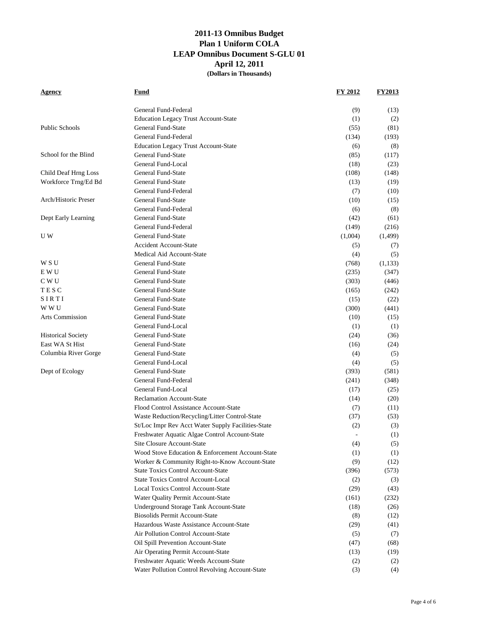| Agency                    | Fund                                               | FY 2012 | <b>FY2013</b> |
|---------------------------|----------------------------------------------------|---------|---------------|
|                           | General Fund-Federal                               | (9)     | (13)          |
|                           | <b>Education Legacy Trust Account-State</b>        | (1)     | (2)           |
| <b>Public Schools</b>     | General Fund-State                                 | (55)    | (81)          |
|                           | General Fund-Federal                               | (134)   | (193)         |
|                           | <b>Education Legacy Trust Account-State</b>        | (6)     | (8)           |
| School for the Blind      | General Fund-State                                 | (85)    | (117)         |
|                           | General Fund-Local                                 | (18)    | (23)          |
| Child Deaf Hrng Loss      | General Fund-State                                 | (108)   | (148)         |
| Workforce Trng/Ed Bd      | General Fund-State                                 | (13)    | (19)          |
|                           | General Fund-Federal                               | (7)     | (10)          |
| Arch/Historic Preser      | General Fund-State                                 | (10)    | (15)          |
|                           | General Fund-Federal                               | (6)     | (8)           |
| Dept Early Learning       | General Fund-State                                 | (42)    | (61)          |
|                           | General Fund-Federal                               | (149)   | (216)         |
| U W                       | General Fund-State                                 | (1,004) | (1,499)       |
|                           | <b>Accident Account-State</b>                      | (5)     | (7)           |
|                           | Medical Aid Account-State                          | (4)     | (5)           |
| W S U                     | General Fund-State                                 | (768)   | (1,133)       |
| E W U                     | General Fund-State                                 | (235)   | (347)         |
| C W U                     | General Fund-State                                 | (303)   | (446)         |
| TESC                      | General Fund-State                                 | (165)   | (242)         |
| SIRTI                     | General Fund-State                                 | (15)    | (22)          |
| W W U                     | General Fund-State                                 | (300)   | (441)         |
| <b>Arts Commission</b>    | General Fund-State                                 | (10)    | (15)          |
|                           | General Fund-Local                                 | (1)     | (1)           |
| <b>Historical Society</b> | General Fund-State                                 | (24)    | (36)          |
| East WA St Hist           | General Fund-State                                 | (16)    | (24)          |
| Columbia River Gorge      | General Fund-State                                 | (4)     | (5)           |
|                           | General Fund-Local                                 | (4)     | (5)           |
| Dept of Ecology           | General Fund-State                                 | (393)   | (581)         |
|                           | General Fund-Federal                               | (241)   | (348)         |
|                           | General Fund-Local                                 | (17)    | (25)          |
|                           | <b>Reclamation Account-State</b>                   | (14)    | (20)          |
|                           | Flood Control Assistance Account-State             | (7)     | (11)          |
|                           | Waste Reduction/Recycling/Litter Control-State     | (37)    | (53)          |
|                           | St/Loc Impr Rev Acct Water Supply Facilities-State | (2)     | (3)           |
|                           | Freshwater Aquatic Algae Control Account-State     | $\sim$  | (1)           |
|                           | Site Closure Account-State                         | (4)     | (5)           |
|                           | Wood Stove Education & Enforcement Account-State   | (1)     | (1)           |
|                           | Worker & Community Right-to-Know Account-State     | (9)     | (12)          |
|                           | <b>State Toxics Control Account-State</b>          | (396)   | (573)         |
|                           | <b>State Toxics Control Account-Local</b>          | (2)     | (3)           |
|                           | <b>Local Toxics Control Account-State</b>          | (29)    | (43)          |
|                           | Water Quality Permit Account-State                 | (161)   | (232)         |
|                           | Underground Storage Tank Account-State             | (18)    | (26)          |
|                           | <b>Biosolids Permit Account-State</b>              | (8)     | (12)          |
|                           | Hazardous Waste Assistance Account-State           | (29)    | (41)          |
|                           | Air Pollution Control Account-State                | (5)     | (7)           |
|                           | Oil Spill Prevention Account-State                 | (47)    | (68)          |
|                           | Air Operating Permit Account-State                 | (13)    | (19)          |
|                           | Freshwater Aquatic Weeds Account-State             | (2)     | (2)           |
|                           | Water Pollution Control Revolving Account-State    | (3)     | (4)           |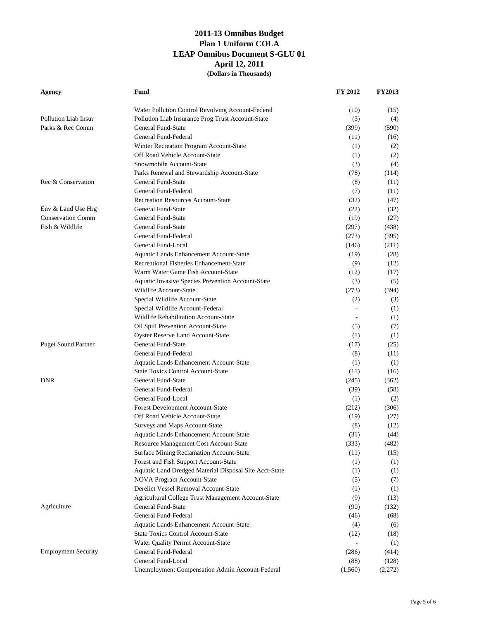| <b>Agency</b>              | Fund                                                   | FY 2012                  | <b>FY2013</b> |
|----------------------------|--------------------------------------------------------|--------------------------|---------------|
|                            | Water Pollution Control Revolving Account-Federal      | (10)                     | (15)          |
| Pollution Liab Insur       | Pollution Liab Insurance Prog Trust Account-State      | (3)                      | (4)           |
| Parks & Rec Comm           | General Fund-State                                     | (399)                    | (590)         |
|                            | General Fund-Federal                                   | (11)                     | (16)          |
|                            | Winter Recreation Program Account-State                | (1)                      | (2)           |
|                            | Off Road Vehicle Account-State                         | (1)                      | (2)           |
|                            | Snowmobile Account-State                               | (3)                      | (4)           |
|                            | Parks Renewal and Stewardship Account-State            | (78)                     | (114)         |
| Rec & Conservation         | General Fund-State                                     | (8)                      | (11)          |
|                            | General Fund-Federal                                   | (7)                      | (11)          |
|                            | <b>Recreation Resources Account-State</b>              | (32)                     | (47)          |
| Env & Land Use Hrg         | General Fund-State                                     | (22)                     | (32)          |
| <b>Conservation Comm</b>   | General Fund-State                                     | (19)                     | (27)          |
| Fish & Wildlife            | General Fund-State                                     | (297)                    | (438)         |
|                            | General Fund-Federal                                   | (273)                    | (395)         |
|                            | General Fund-Local                                     | (146)                    | (211)         |
|                            | Aquatic Lands Enhancement Account-State                | (19)                     | (28)          |
|                            | Recreational Fisheries Enhancement-State               | (9)                      | (12)          |
|                            | Warm Water Game Fish Account-State                     | (12)                     | (17)          |
|                            | Aquatic Invasive Species Prevention Account-State      | (3)                      | (5)           |
|                            | Wildlife Account-State                                 | (273)                    | (394)         |
|                            | Special Wildlife Account-State                         | (2)                      | (3)           |
|                            | Special Wildlife Account-Federal                       |                          | (1)           |
|                            | Wildlife Rehabilitation Account-State                  | ÷                        | (1)           |
|                            | Oil Spill Prevention Account-State                     | (5)                      | (7)           |
|                            | <b>Oyster Reserve Land Account-State</b>               | (1)                      | (1)           |
| <b>Puget Sound Partner</b> | General Fund-State                                     | (17)                     | (25)          |
|                            | General Fund-Federal                                   | (8)                      | (11)          |
|                            | Aquatic Lands Enhancement Account-State                | (1)                      | (1)           |
|                            | <b>State Toxics Control Account-State</b>              | (11)                     | (16)          |
| <b>DNR</b>                 | General Fund-State                                     | (245)                    | (362)         |
|                            | General Fund-Federal                                   | (39)                     | (58)          |
|                            | General Fund-Local                                     | (1)                      | (2)           |
|                            | Forest Development Account-State                       | (212)                    | (306)         |
|                            | Off Road Vehicle Account-State                         | (19)                     | (27)          |
|                            | Surveys and Maps Account-State                         | (8)                      | (12)          |
|                            | Aquatic Lands Enhancement Account-State                | (31)                     | (44)          |
|                            | Resource Management Cost Account-State                 | (333)                    | (482)         |
|                            | Surface Mining Reclamation Account-State               | (11)                     | (15)          |
|                            | Forest and Fish Support Account-State                  | (1)                      | (1)           |
|                            | Aquatic Land Dredged Material Disposal Site Acct-State | (1)                      | (1)           |
|                            | NOVA Program Account-State                             | (5)                      | (7)           |
|                            | Derelict Vessel Removal Account-State                  | (1)                      | (1)           |
|                            | Agricultural College Trust Management Account-State    | (9)                      | (13)          |
| Agriculture                | General Fund-State                                     | (90)                     | (132)         |
|                            | General Fund-Federal                                   | (46)                     | (68)          |
|                            | Aquatic Lands Enhancement Account-State                | (4)                      | (6)           |
|                            | <b>State Toxics Control Account-State</b>              | (12)                     | (18)          |
|                            | Water Quality Permit Account-State                     | $\overline{\phantom{a}}$ | (1)           |
| <b>Employment Security</b> | General Fund-Federal                                   | (286)                    | (414)         |
|                            | General Fund-Local                                     | (88)                     | (128)         |
|                            | Unemployment Compensation Admin Account-Federal        | (1,560)                  | (2,272)       |